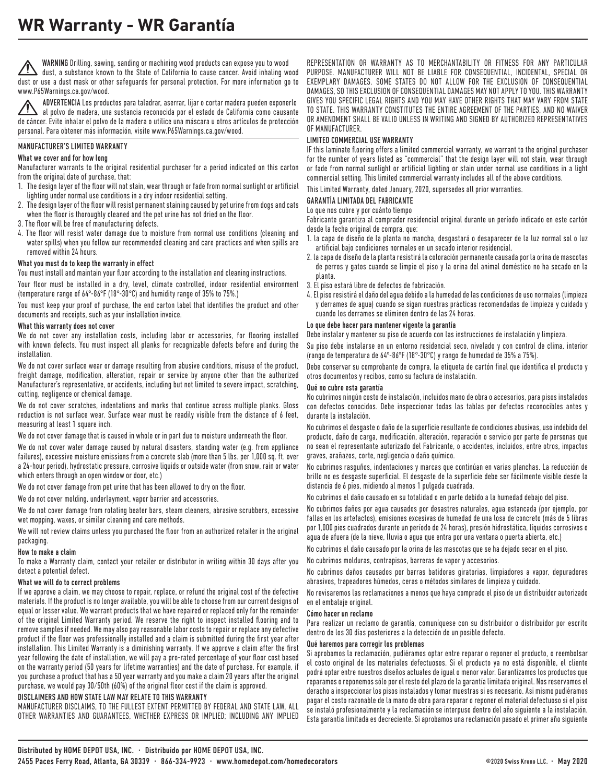WARNING Drilling, sawing, sanding or machining wood products can expose you to wood dust, a substance known to the State of California to cause cancer. Avoid inhaling wood dust or use a dust mask or other safeguards for personal protection. For more information go to www.P65Warnings.ca.gov/wood.

ADVERTENCIA Los productos para taladrar, aserrar, lijar o cortar madera pueden exponerlo al polvo de madera, una sustancia reconocida por el estado de California como causante de cáncer. Evite inhalar el polvo de la madera o utilice una máscara u otros artículos de protección personal. Para obtener más información, visite www.P65Warnings.ca.gov/wood.

#### MANUFACTURER'S LIMITED WARRANTY

#### What we cover and for how long

Manufacturer warrants to the original residential purchaser for a period indicated on this carton from the original date of purchase, that:

- 1. The design layer of the floor will not stain, wear through or fade from normal sunlight or artificial lighting under normal use conditions in a dry indoor residential setting.
- 2. The design layer of the floor will resist permanent staining caused by pet urine from dogs and cats when the floor is thoroughly cleaned and the pet urine has not dried on the floor.
- 3. The floor will be free of manufacturing defects.
- 4. The floor will resist water damage due to moisture from normal use conditions (cleaning and water spills) when you follow our recommended cleaning and care practices and when spills are removed within 24 hours.

#### What you must do to keep the warranty in effect

You must install and maintain your floor according to the installation and cleaning instructions.

Your floor must be installed in a dry, level, climate controlled, indoor residential environment (temperature range of 64°-86°F (18°-30°C) and humidity range of 35% to 75%.)

You must keep your proof of purchase, the end carton label that identifies the product and other documents and receipts, such as your installation invoice.

#### What this warranty does not cover

We do not cover any installation costs, including labor or accessories, for flooring installed with known defects. You must inspect all planks for recognizable defects before and during the installation.

We do not cover surface wear or damage resulting from abusive conditions, misuse of the product, freight damage, modification, alteration, repair or service by anyone other than the authorized Manufacturer's representative, or accidents, including but not limited to severe impact, scratching, cutting, negligence or chemical damage.

We do not cover scratches, indentations and marks that continue across multiple planks. Gloss reduction is not surface wear. Surface wear must be readily visible from the distance of 6 feet, measuring at least 1 square inch.

We do not cover damage that is caused in whole or in part due to moisture underneath the floor.

We do not cover water damage caused by natural disasters, standing water (e.g. from appliance failures), excessive moisture emissions from a concrete slab (more than 5 lbs. per 1,000 sq. ft. over a 24-hour period), hydrostatic pressure, corrosive liquids or outside water (from snow, rain or water which enters through an open window or door, etc.)

We do not cover damage from pet urine that has been allowed to dry on the floor.

We do not cover molding, underlayment, vapor barrier and accessories.

We do not cover damage from rotating beater bars, steam cleaners, abrasive scrubbers, excessive wet mopping, waxes, or similar cleaning and care methods.

We will not review claims unless you purchased the floor from an authorized retailer in the original packaging.

#### How to make a claim

To make a Warranty claim, contact your retailer or distributor in writing within 30 days after you detect a potential defect.

#### What we will do to correct problems

If we approve a claim, we may choose to repair, replace, or refund the original cost of the defective materials. If the product is no longer available, you will be able to choose from our current designs of equal or lesser value. We warrant products that we have repaired or replaced only for the remainder of the original Limited Warranty period. We reserve the right to inspect installed flooring and to remove samples if needed. We may also pay reasonable labor costs to repair or replace any defective product if the floor was professionally installed and a claim is submitted during the first year after installation. This Limited Warranty is a diminishing warranty. If we approve a claim after the first year following the date of installation, we will pay a pro-rated percentage of your floor cost based on the warranty period (50 years for lifetime warranties) and the date of purchase. For example, if you purchase a product that has a 50 year warranty and you make a claim 20 years after the original purchase, we would pay 30/50th (60%) of the original floor cost if the claim is approved.

#### DISCLAIMERS AND HOW STATE LAW MAY RELATE TO THIS WARRANTY

MANUFACTURER DISCLAIMS, TO THE FULLEST EXTENT PERMITTED BY FEDERAL AND STATE LAW, ALL OTHER WARRANTIES AND GUARANTEES, WHETHER EXPRESS OR IMPLIED; INCLUDING ANY IMPLIED

REPRESENTATION OR WARRANTY AS TO MERCHANTABILITY OR FITNESS FOR ANY PARTICULAR PURPOSE. MANUFACTURER WILL NOT BE LIABLE FOR CONSEQUENTIAL, INCIDENTAL, SPECIAL OR EXEMPLARY DAMAGES. SOME STATES DO NOT ALLOW FOR THE EXCLUSION OF CONSEQUENTIAL DAMAGES, SO THIS EXCLUSION OF CONSEQUENTIAL DAMAGES MAY NOT APPLY TO YOU. THIS WARRANTY GIVES YOU SPECIFIC LEGAL RIGHTS AND YOU MAY HAVE OTHER RIGHTS THAT MAY VARY FROM STATE TO STATE. THIS WARRANTY CONSTITUTES THE ENTIRE AGREEMENT OF THE PARTIES, AND NO WAIVER OR AMENDMENT SHALL BE VALID UNLESS IN WRITING AND SIGNED BY AUTHORIZED REPRESENTATIVES OF MANUFACTURER.

#### LIMITED COMMERCIAL USE WARRANTY

IF this laminate flooring offers a limited commercial warranty, we warrant to the original purchaser for the number of years listed as "commercial" that the design layer will not stain, wear through or fade from normal sunlight or artificial lighting or stain under normal use conditions in a light commercial setting. This limited commercial warranty includes all of the above conditions.

This Limited Warranty, dated January, 2020, supersedes all prior warranties.

#### GARANTÍA LIMITADA DEL FABRICANTE

#### Lo que nos cubre y por cuánto tiempo

Fabricante garantiza al comprador residencial original durante un período indicado en este cartón desde la fecha original de compra, que:

- 1. la capa de diseño de la planta no mancha, desgastará o desaparecer de la luz normal sol o luz artificial bajo condiciones normales en un secado interior residencial.
- 2. la capa de diseño de la planta resistirá la coloración permanente causada por la orina de mascotas de perros y gatos cuando se limpie el piso y la orina del animal doméstico no ha secado en la planta.
- 3. El piso estará libre de defectos de fabricación.
- 4. El piso resistirá el daño del agua debido a la humedad de las condiciones de uso normales (limpieza y derrames de agua) cuando se sigan nuestras prácticas recomendadas de limpieza y cuidado y cuando los derrames se eliminen dentro de las 24 horas.

#### Lo que debe hacer para mantener vigente la garantía

Debe instalar y mantener su piso de acuerdo con las instrucciones de instalación y limpieza.

Su piso debe instalarse en un entorno residencial seco, nivelado y con control de clima, interior (rango de temperatura de 64°-86°F (18°-30°C) y rango de humedad de 35% a 75%).

Debe conservar su comprobante de compra, la etiqueta de cartón final que identifica el producto y otros documentos y recibos, como su factura de instalación.

#### Qué no cubre esta garantía

No cubrimos ningún costo de instalación, incluidos mano de obra o accesorios, para pisos instalados con defectos conocidos. Debe inspeccionar todas las tablas por defectos reconocibles antes y durante la instalación.

No cubrimos el desgaste o daño de la superficie resultante de condiciones abusivas, uso indebido del producto, daño de carga, modificación, alteración, reparación o servicio por parte de personas que no sean el representante autorizado del Fabricante, o accidentes, incluidos, entre otros, impactos graves, arañazos, corte, negligencia o daño químico.

No cubrimos rasguños, indentaciones y marcas que continúan en varias planchas. La reducción de brillo no es desgaste superficial. El desgaste de la superficie debe ser fácilmente visible desde la distancia de 6 pies, midiendo al menos 1 pulgada cuadrada.

No cubrimos el daño causado en su totalidad o en parte debido a la humedad debajo del piso.

No cubrimos daños por agua causados por desastres naturales, agua estancada (por ejemplo, por fallas en los artefactos), emisiones excesivas de humedad de una losa de concreto (más de 5 libras por 1,000 pies cuadrados durante un período de 24 horas), presión hidrostática, líquidos corrosivos o agua de afuera (de la nieve, lluvia o agua que entra por una ventana o puerta abierta, etc.)

No cubrimos el daño causado por la orina de las mascotas que se ha dejado secar en el piso.

No cubrimos molduras, contrapisos, barreras de vapor y accesorios.

No cubrimos daños causados por barras batidoras giratorias, limpiadores a vapor, depuradores abrasivos, trapeadores húmedos, ceras o métodos similares de limpieza y cuidado.

No revisaremos las reclamaciones a menos que haya comprado el piso de un distribuidor autorizado en el embalaje original.

#### Cómo hacer un reclamo

Para realizar un reclamo de garantía, comuníquese con su distribuidor o distribuidor por escrito dentro de los 30 días posteriores a la detección de un posible defecto.

#### Qué haremos para corregir los problemas

Si aprobamos la reclamación, pudiéramos optar entre reparar o reponer el producto, o reembolsar el costo original de los materiales defectuosos. Si el producto ya no está disponible, el cliente podrá optar entre nuestros diseños actuales de igual o menor valor. Garantizamos los productos que reparamos o reponemos sólo por el resto del plazo de la garantía limitada original. Nos reservamos el deracho a inspeccionar los pisos instalados y tomar muestras si es necesario. Asi mismo pudiéramos pagar el costo razonable de la mano de obra para reparar o reponer el material defectuoso si el piso se instaló profesionalmente y la reclamación se interpuso dentro del año siguiente a la instalación. Esta garantia limitada es decreciente. Si aprobamos una reclamación pasado el primer año siguiente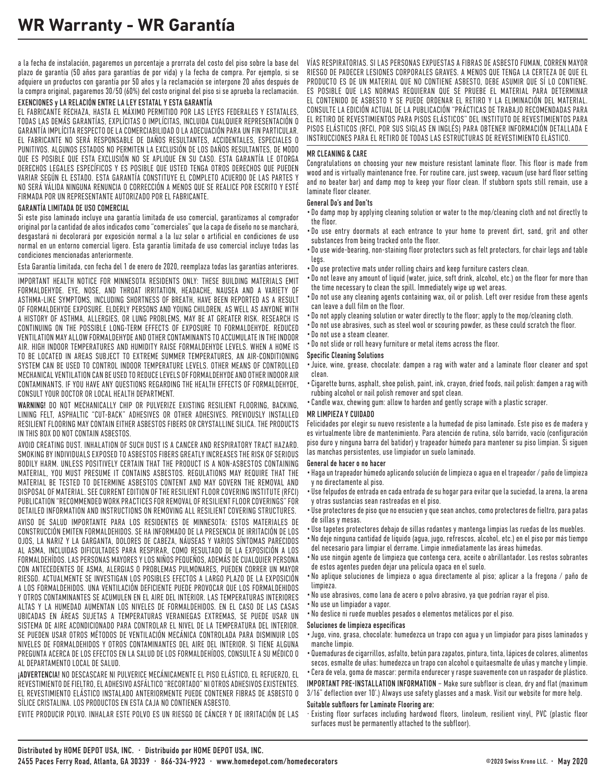a la fecha de instalación, pagaremos un porcentaje a prorrata del costo del piso sobre la base del plazo de garantía (50 años para garantías de por vida) y la fecha de compra. Por ejemplo, si se adquiere un productos con garantía por 50 años y la reclamación se interpone 20 años después de la compra original, pagaremos 30/50 (60%) del costo original del piso si se aprueba la reclamación.

#### EXENCIONES y LA RELACIÓN ENTRE LA LEY ESTATAL Y ESTA GARANTÍA

EL FABRICANTE RECHAZA, HASTA EL MÁXIMO PERMITIDO POR LAS LEYES FEDERALES Y ESTATALES, TODAS LAS DEMÁS GARANTÍAS, EXPLÍCITAS O IMPLÍCITAS, INCLUIDA CUALQUIER REPRESENTACIÓN O GARANTÍA IMPLÍCITA RESPECTO DE LA COMERCIABILIDAD O LA ADECUACIÓN PARA UN FIN PARTICULAR. EL FABRICANTE NO SERÁ RESPONSABLE DE DAÑOS RESULTANTES, ACCIDENTALES, ESPECIALES O PUNITIVOS. ALGUNOS ESTADOS NO PERMITEN LA EXCLUSIÓN DE LOS DAÑOS RESULTANTES, DE MODO QUE ES POSIBLE QUE ESTA EXCLUSIÓN NO SE APLIQUE EN SU CASO. ESTA GARANTÍA LE OTORGA DERECHOS LEGALES ESPECÍFICOS Y ES POSIBLE QUE USTED TENGA OTROS DERECHOS QUE PUEDEN VARIAR SEGÚN EL ESTADO. ESTA GARANTÍA CONSTITUYE EL COMPLETO ACUERDO DE LAS PARTES Y NO SERÁ VÁLIDA NINGUNA RENUNCIA O CORRECCIÓN A MENOS QUE SE REALICE POR ESCRITO Y ESTÉ FIRMADA POR UN REPRESENTANTE AUTORIZADO POR EL FABRICANTE.

#### GARANTÍA LIMITADA DE USO COMERCIAL

Si este piso laminado incluye una garantía limitada de uso comercial, garantizamos al comprador original por la cantidad de años indicados como "comerciales" que la capa de diseño no se manchará, desgastará ni decolorará por exposición normal a la luz solar o artificial en condiciones de uso normal en un entorno comercial ligero. Esta garantía limitada de uso comercial incluye todas las condiciones mencionadas anteriormente.

Esta Garantía limitada, con fecha del 1 de enero de 2020, reemplaza todas las garantías anteriores.

IMPORTANT HEALTH NOTICE FOR MINNESOTA RESIDENTS ONLY: THESE BUILDING MATERIALS EMIT FORMALDEHYDE. EYE, NOSE, AND THROAT IRRITATION, HEADACHE, NAUSEA AND A VARIETY OF ASTHMA-LIKE SYMPTOMS, INCLUDING SHORTNESS OF BREATH, HAVE BEEN REPORTED AS A RESULT OF FORMALDEHYDE EXPOSURE. ELDERLY PERSONS AND YOUNG CHILDREN, AS WELL AS ANYONE WITH A HISTORY OF ASTHMA, ALLERGIES, OR LUNG PROBLEMS, MAY BE AT GREATER RISK. RESEARCH IS CONTINUING ON THE POSSIBLE LONG-TERM EFFECTS OF EXPOSURE TO FORMALDEHYDE. REDUCED VENTILATION MAY ALLOW FORMALDEHYDE AND OTHER CONTAMINANTS TO ACCUMULATE IN THE INDOOR AIR. HIGH INDOOR TEMPERATURES AND HUMIDITY RAISE FORMALDEHYDE LEVELS. WHEN A HOME IS TO BE LOCATED IN AREAS SUBJECT TO EXTREME SUMMER TEMPERATURES, AN AIR-CONDITIONING SYSTEM CAN BE USED TO CONTROL INDOOR TEMPERATURE LEVELS. OTHER MEANS OF CONTROLLED MECHANICAL VENTILATION CAN BE USED TO REDUCE LEVELS OF FORMALDEHYDE AND OTHER INDOOR AIR CONTAMINANTS. IF YOU HAVE ANY QUESTIONS REGARDING THE HEALTH EFFECTS OF FORMALDEHYDE, CONSULT YOUR DOCTOR OR LOCAL HEALTH DEPARTMENT.

WARNING! DO NOT MECHANICALLY CHIP OR PULVERIZE EXISTING RESILIENT FLOORING, BACKING, LINING FELT, ASPHALTIC "CUT-BACK" ADHESIVES OR OTHER ADHESIVES. PREVIOUSLY INSTALLED RESILIENT FLOORING MAY CONTAIN EITHER ASBESTOS FIBERS OR CRYSTALLINE SILICA. THE PRODUCTS IN THIS BOX DO NOT CONTAIN ASBESTOS.

AVOID CREATING DUST. INHALATION OF SUCH DUST IS A CANCER AND RESPIRATORY TRACT HAZARD. SMOKING BY INDIVIDUALS EXPOSED TO ASBESTOS FIBERS GREATLY INCREASES THE RISK OF SERIOUS BODILY HARM. UNLESS POSITIVELY CERTAIN THAT THE PRODUCT IS A NON-ASBESTOS CONTAINING MATERIAL, YOU MUST PRESUME IT CONTAINS ASBESTOS. REGULATIONS MAY REQUIRE THAT THE MATERIAL BE TESTED TO DETERMINE ASBESTOS CONTENT AND MAY GOVERN THE REMOVAL AND DISPOSAL OF MATERIAL. SEE CURRENT EDITION OF THE RESILIENT FLOOR COVERING INSTITUTE (RFCI) PUBLICATION "RECOMMENDED WORK PRACTICES FOR REMOVAL OF RESILIENT FLOOR COVERINGS" FOR DETAILED INFORMATION AND INSTRUCTIONS ON REMOVING ALL RESILIENT COVERING STRUCTURES.

AVISO DE SALUD IMPORTANTE PARA LOS RESIDENTES DE MINNESOTA: ESTOS MATERIALES DE CONSTRUCCIÓN EMITEN FORMALDEHIDOS. SE HA INFORMADO DE LA PRESENCIA DE IRRITACIÓN DE LOS OJOS, LA NARIZ Y LA GARGANTA, DOLORES DE CABEZA, NÁUSEAS Y VARIOS SÍNTOMAS PARECIDOS AL ASMA, INCLUIDAS DIFICULTADES PARA RESPIRAR, COMO RESULTADO DE LA EXPOSICIÓN A LOS FORMALDEHÍDOS. LAS PERSONAS MAYORES Y LOS NIÑOS PEQUEÑOS, ADEMÁS DE CUALQUIER PERSONA CON ANTECEDENTES DE ASMA, ALERGIAS O PROBLEMAS PULMONARES, PUEDEN CORRER UN MAYOR RIESGO. ACTUALMENTE SE INVESTIGAN LOS POSIBLES EFECTOS A LARGO PLAZO DE LA EXPOSICIÓN A LOS FORMALDEHIDOS. UNA VENTILACIÓN DEFICIENTE PUEDE PROVOCAR QUE LOS FORMALDEHIDOS Y OTROS CONTAMINANTES SE ACUMULEN EN EL AIRE DEL INTERIOR. LAS TEMPERATURAS INTERIORES ALTAS Y LA HUMEDAD AUMENTAN LOS NIVELES DE FORMALDEHIDOS. EN EL CASO DE LAS CASAS UBICADAS EN ÁREAS SUJETAS A TEMPERATURAS VERANIEGAS EXTREMAS, SE PUEDE USAR UN SISTEMA DE AIRE ACONDICIONADO PARA CONTROLAR EL NIVEL DE LA TEMPERATURA DEL INTERIOR. SE PUEDEN USAR OTROS MÉTODOS DE VENTILACIÓN MECÁNICA CONTROLADA PARA DISMINUIR LOS NIVELES DE FORMALDEHIDOS Y OTROS CONTAMINANTES DEL AIRE DEL INTERIOR. SI TIENE ALGUNA PREGUNTA ACERCA DE LOS EFECTOS EN LA SALUD DE LOS FORMALDEHÍDOS, CONSULTE A SU MÉDICO O AL DEPARTAMENTO LOCAL DE SALUD.

¡ADVERTENCIA! NO DESCASCARE NI PULVERICE MECÁNICAMENTE EL PISO ELÁSTICO, EL REFUERZO, EL REVESTIMIENTO DE FIELTRO, EL ADHESIVO ASFÁLTICO "RECORTADO" NI OTROS ADHESIVOS EXISTENTES. EL REVESTIMIENTO ELÁSTICO INSTALADO ANTERIORMENTE PUEDE CONTENER FIBRAS DE ASBESTO O SÍLICE CRISTALINA. LOS PRODUCTOS EN ESTA CAJA NO CONTIENEN ASBESTO.

EVITE PRODUCIR POLVO. INHALAR ESTE POLVO ES UN RIESGO DE CÁNCER Y DE IRRITACIÓN DE LAS

VÍAS RESPIRATORIAS. SI LAS PERSONAS EXPUESTAS A FIBRAS DE ASBESTO FUMAN, CORREN MAYOR RIESGO DE PADECER LESIONES CORPORALES GRAVES. A MENOS QUE TENGA LA CERTEZA DE QUE EL PRODUCTO ES DE UN MATERIAL QUE NO CONTIENE ASBESTO, DEBE ASUMIR QUE SÍ LO CONTIENE. ES POSIBLE QUE LAS NORMAS REQUIERAN QUE SE PRUEBE EL MATERIAL PARA DETERMINAR EL CONTENIDO DE ASBESTO Y SE PUEDE ORDENAR EL RETIRO Y LA ELIMINACIÓN DEL MATERIAL. CONSULTE LA EDICIÓN ACTUAL DE LA PUBLICACIÓN "PRÁCTICAS DE TRABAJO RECOMENDADAS PARA EL RETIRO DE REVESTIMIENTOS PARA PISOS ELÁSTICOS" DEL INSTITUTO DE REVESTIMIENTOS PARA PISOS ELÁSTICOS (RFCI, POR SUS SIGLAS EN INGLÉS) PARA OBTENER INFORMACIÓN DETALLADA E INSTRUCCIONES PARA EL RETIRO DE TODAS LAS ESTRUCTURAS DE REVESTIMIENTO ELÁSTICO.

#### MR CLEANING & CARE

Congratulations on choosing your new moisture resistant laminate floor. This floor is made from wood and is virtually maintenance free. For routine care, just sweep, vacuum (use hard floor setting and no beater bar) and damp mop to keep your floor clean. If stubborn spots still remain, use a laminate floor cleaner.

#### General Do's and Don'ts

- Do damp mop by applying cleaning solution or water to the mop/cleaning cloth and not directly to the floor.
- Do use entry doormats at each entrance to your home to prevent dirt, sand, grit and other substances from being tracked onto the floor.
- Do use wide-bearing, non-staining floor protectors such as felt protectors, for chair legs and table legs.
- Do use protective mats under rolling chairs and keep furniture casters clean.
- Do not leave any amount of liquid (water, juice, soft drink, alcohol, etc.) on the floor for more than the time necessary to clean the spill. Immediately wipe up wet areas.
- Do not use any cleaning agents containing wax, oil or polish. Left over residue from these agents can leave a dull film on the floor.
- Do not apply cleaning solution or water directly to the floor; apply to the mop/cleaning cloth.
- Do not use abrasives, such as steel wool or scouring powder, as these could scratch the floor.
- Do not use a steam cleaner.
- Do not slide or roll heavy furniture or metal items across the floor.

#### Specific Cleaning Solutions

- Juice, wine, grease, chocolate: dampen a rag with water and a laminate floor cleaner and spot clean.
- Cigarette burns, asphalt, shoe polish, paint, ink, crayon, dried foods, nail polish: dampen a rag with rubbing alcohol or nail polish remover and spot clean.
- Candle wax, chewing gum: allow to harden and gently scrape with a plastic scraper.

#### MR LIMPIEZA Y CUIDADO

Felicidades por elegir su nuevo resistente a la humedad de piso laminado. Este piso es de madera y es virtualmente libre de mantenimiento. Para atención de rutina, sólo barrido, vacío (configuración piso duro y ninguna barra del batidor) y trapeador húmedo para mantener su piso limpian. Si siguen las manchas persistentes, use limpiador un suelo laminado.

#### General de hacer o no hacer

- Haga un trapeador húmedo aplicando solución de limpieza o agua en el trapeador / paño de limpieza y no directamente al piso.
- Use felpudos de entrada en cada entrada de su hogar para evitar que la suciedad, la arena, la arena y otras sustancias sean rastreadas en el piso.
- Use protectores de piso que no ensucien y que sean anchos, como protectores de fieltro, para patas de sillas y mesas.
- Use tapetes protectores debajo de sillas rodantes y mantenga limpias las ruedas de los muebles.
- •No deje ninguna cantidad de líquido (agua, jugo, refrescos, alcohol, etc.) en el piso por más tiempo del necesario para limpiar el derrame. Limpie inmediatamente las áreas húmedas.
- •No use ningún agente de limpieza que contenga cera, aceite o abrillantador. Los restos sobrantes de estos agentes pueden dejar una película opaca en el suelo.
- •No aplique soluciones de limpieza o agua directamente al piso; aplicar a la fregona / paño de limpieza.
- •No use abrasivos, como lana de acero o polvo abrasivo, ya que podrían rayar el piso.
- •No use un limpiador a vapor.
- •No deslice ni ruede muebles pesados o elementos metálicos por el piso.

#### Soluciones de limpieza específicas

- Jugo, vino, grasa, chocolate: humedezca un trapo con agua y un limpiador para pisos laminados y manche limpio.
- •Quemaduras de cigarrillos, asfalto, betún para zapatos, pintura, tinta, lápices de colores, alimentos secos, esmalte de uñas: humedezca un trapo con alcohol o quitaesmalte de uñas y manche y limpie.

• Cera de vela, goma de mascar: permita endurecer y raspe suavemente con un raspador de plástico. IMPORTANT PRE-INSTALLATION INFORMATION – Make sure subfloor is clean, dry and flat (maximum

3/16" deflection over 10'.) Always use safety glasses and a mask. Visit our website for more help. Suitable subfloors for Laminate Flooring are:

· Existing floor surfaces including hardwood floors, linoleum, resilient vinyl, PVC (plastic floor surfaces must be permanently attached to the subfloor).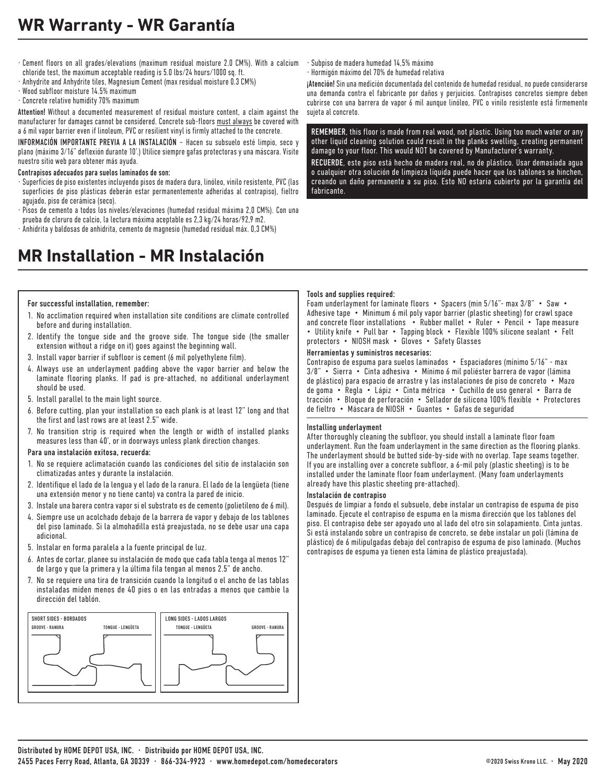- · Cement floors on all grades/elevations (maximum residual moisture 2.0 CM%). With a calcium chloride test, the maximum acceptable reading is 5.0 lbs/24 hours/1000 sq. ft.
- · Anhydrite and Anhydrite tiles, Magnesium Cement (max residual moisture 0.3 CM%)
- · Wood subfloor moisture 14.5% maximum
- · Concrete relative humidity 70% maximum

Attention! Without a documented measurement of residual moisture content, a claim against the manufacturer for damages cannot be considered. Concrete sub-floors must always be covered with a 6 mil vapor barrier even if linoleum, PVC or resilient vinyl is firmly attached to the concrete.

INFORMACIÓN IMPORTANTE PREVIA A LA INSTALACIÓN – Hacen su subsuelo esté limpio, seco y plano (máximo 3/16" deflexión durante 10'.) Utilice siempre gafas protectoras y una máscara. Visite nuestro sitio web para obtener más ayuda.

#### Contrapisos adecuados para suelos laminados de son:

- · Superficies de piso existentes incluyendo pisos de madera dura, linóleo, vinilo resistente, PVC (las superficies de piso plásticas deberán estar permanentemente adheridas al contrapiso), fieltro agujado, piso de cerámica (seco).
- · Pisos de cemento a todos los niveles/elevaciones (humedad residual máxima 2,0 CM%). Con una prueba de cloruro de calcio, la lectura máxima aceptable es 2,3 kg/24 horas/92,9 m2.
- · Anhidrita y baldosas de anhidrita, cemento de magnesio (humedad residual máx. 0,3 CM%)

## **MR Installation - MR Instalación**

· Subpiso de madera humedad 14,5% máximo

· Hormigón máximo del 70% de humedad relativa

¡Atención! Sin una medición documentada del contenido de humedad residual, no puede considerarse una demanda contra el fabricante por daños y perjuicios. Contrapisos concretos siempre deben cubrirse con una barrera de vapor 6 mil aunque linóleo, PVC o vinilo resistente está firmemente sujeta al concreto.

REMEMBER, this floor is made from real wood, not plastic. Using too much water or any other liquid cleaning solution could result in the planks swelling, creating permanent damage to your floor. This would NOT be covered by Manufacturer's warranty.

RECUERDE, este piso está hecho de madera real, no de plástico. Usar demasiada agua o cualquier otra solución de limpieza líquida puede hacer que los tablones se hinchen, creando un daño permanente a su piso. Esto NO estaría cubierto por la garantía del fabricante.

#### For successful installation, remember:

- 1. No acclimation required when installation site conditions are climate controlled before and during installation.
- 2. Identify the tongue side and the groove side. The tongue side (the smaller extension without a ridge on it) goes against the beginning wall.
- 3. Install vapor barrier if subfloor is cement (6 mil polyethylene film).
- 4. Always use an underlayment padding above the vapor barrier and below the laminate flooring planks. If pad is pre-attached, no additional underlayment should be used.
- 5. Install parallel to the main light source.
- 6. Before cutting, plan your installation so each plank is at least 12" long and that the first and last rows are at least 2.5" wide.
- 7. No transition strip is required when the length or width of installed planks measures less than 40', or in doorways unless plank direction changes.

#### Para una instalación exitosa, recuerda:

- 1. No se requiere aclimatación cuando las condiciones del sitio de instalación son climatizadas antes y durante la instalación.
- 2. Identifique el lado de la lengua y el lado de la ranura. El lado de la lengüeta (tiene una extensión menor y no tiene canto) va contra la pared de inicio.
- 3. Instale una barera contra vapor si el substrato es de cemento (polietileno de 6 mil).
- 4. Siempre use un acolchado debajo de la barrera de vapor y debajo de los tablones del piso laminado. Si la almohadilla está preajustada, no se debe usar una capa adicional.
- 5. Instalar en forma paralela a la fuente principal de luz.
- 6. Antes de cortar, planee su instalación de modo que cada tabla tenga al menos 12" de largo y que la primera y la última fila tengan al menos 2.5" de ancho.
- 7. No se requiere una tira de transición cuando la longitud o el ancho de las tablas instaladas miden menos de 40 pies o en las entradas a menos que cambie la dirección del tablón.



#### Tools and supplies required:

Foam underlayment for laminate floors • Spacers (min 5/16"- max 3/8" • Saw • Adhesive tape • Minimum 6 mil poly vapor barrier (plastic sheeting) for crawl space and concrete floor installations • Rubber mallet • Ruler • Pencil • Tape measure • Utility knife • Pull bar • Tapping block • Flexible 100% silicone sealant • Felt protectors • NIOSH mask • Gloves • Safety Glasses

#### Herramientas y suministros necesarios:

Contrapiso de espuma para suelos laminados • Espaciadores (mínimo 5/16" - max 3/8" • Sierra • Cinta adhesiva • Mínimo 6 mil poliéster barrera de vapor (lámina de plástico) para espacio de arrastre y las instalaciones de piso de concreto • Mazo de goma • Regla • Lápiz • Cinta métrica • Cuchillo de uso general • Barra de tracción • Bloque de perforación • Sellador de silicona 100% flexible • Protectores de fieltro • Máscara de NIOSH • Guantes • Gafas de seguridad

#### Installing underlayment

After thoroughly cleaning the subfloor, you should install a laminate floor foam underlayment. Run the foam underlayment in the same direction as the flooring planks. The underlayment should be butted side-by-side with no overlap. Tape seams together. If you are installing over a concrete subfloor, a 6-mil poly (plastic sheeting) is to be installed under the laminate floor foam underlayment. (Many foam underlayments already have this plastic sheeting pre-attached).

#### Instalación de contrapiso

Después de limpiar a fondo el subsuelo, debe instalar un contrapiso de espuma de piso laminado. Ejecute el contrapiso de espuma en la misma dirección que los tablones del piso. El contrapiso debe ser apoyado uno al lado del otro sin solapamiento. Cinta juntas. Si está instalando sobre un contrapiso de concreto, se debe instalar un poli (lámina de plástico) de 6 milipulgadas debajo del contrapiso de espuma de piso laminado. (Muchos contrapisos de espuma ya tienen esta lámina de plástico preajustada).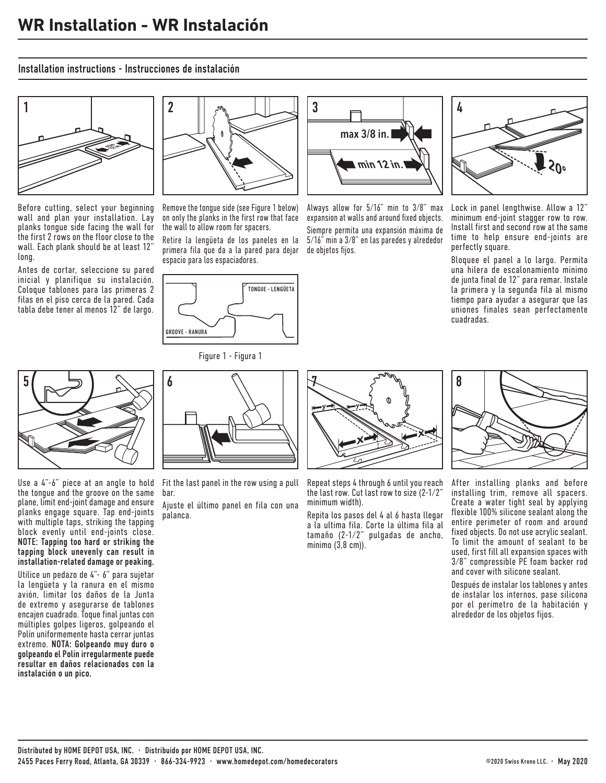### Installation instructions - Instrucciones de instalación



Before cutting, select your beginning wall and plan your installation. Lay planks tongue side facing the wall for the first 2 rows on the floor close to the wall. Each plank should be at least 12" long.

Antes de cortar, seleccione su pared inicial y planifique su instalación. Coloque tablones para las primeras 2 filas en el piso cerca de la pared. Cada tabla debe tener al menos 12" de largo.



Remove the tongue side (see Figure 1 below) on only the planks in the first row that face the wall to allow room for spacers.

Retire la lengüeta de los paneles en la primera fila que da a la pared para dejar espacio para los espaciadores.



Figure 1 - Figura 1



Always allow for 5/16" min to 3/8" max expansion at walls and around fixed objects. Siempre permita una expansión máxima de 5/16" min a 3/8" en las paredes y alrededor de objetos fijos.



Lock in panel lengthwise. Allow a 12" minimum end-joint stagger row to row. Install first and second row at the same time to help ensure end-joints are perfectly square.

Bloquee el panel a lo largo. Permita una hilera de escalonamiento mínimo de junta final de 12" para remar. Instale la primera y la segunda fila al mismo tiempo para ayudar a asegurar que las uniones finales sean perfectamente cuadradas.



Use a 4"-6" piece at an angle to hold the tongue and the groove on the same plane, limit end-joint damage and ensure planks engage square. Tap end-joints with multiple taps, striking the tapping block evenly until end-joints close. NOTE: Tapping too hard or striking the tapping block unevenly can result in installation-related damage or peaking.

Utilice un pedazo de 4"- 6" para sujetar la lengüeta y la ranura en el mismo avión, limitar los daños de la Junta de extremo y asegurarse de tablones encajen cuadrado. Toque final juntas con múltiples golpes ligeros, golpeando el Polín uniformemente hasta cerrar juntas extremo. NOTA: Golpeando muy duro o golpeando el Polín irregularmente puede resultar en daños relacionados con la instalación o un pico.



Fit the last panel in the row using a pull bar.

Ajuste el último panel en fila con una palanca.



Repeat steps 4 through 6 until you reach the last row. Cut last row to size (2-1/2" minimum width).

Repita los pasos del 4 al 6 hasta llegar a la ultima fila. Corte la última fila al tamaño (2-1/2" pulgadas de ancho, mínimo (3,8 cm)).



After installing planks and before installing trim, remove all spacers. Create a water tight seal by applying flexible 100% silicone sealant along the entire perimeter of room and around fixed objects. Do not use acrylic sealant. To limit the amount of sealant to be used, first fill all expansion spaces with 3/8" compressible PE foam backer rod and cover with silicone sealant.

Después de instalar los tablones y antes de instalar los internos, pase silicona por el perímetro de la habitación y alrededor de los objetos fijos.